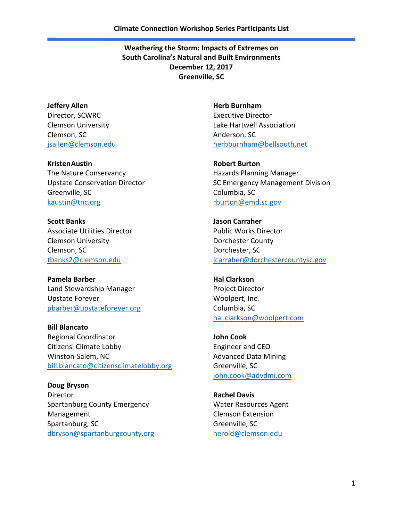**Jeffery Allen** Director, SCWRC Clemson University Clemson, SC [jsallen@clemson.edu](mailto:jsallen@clemson.edu)

**KristenAustin** The Nature Conservancy Upstate Conservation Director Greenville, SC [kaustin@tnc.org](mailto:kaustin@tnc.org)

**Scott Banks** Associate Utilities Director Clemson University Clemson, SC [tbanks2@clemson.edu](mailto:tbanks2@clemson.edu)

**Pamela Barber** Land Stewardship Manager Upstate Forever [pbarber@upstateforever.org](mailto:pbarber@upstateforever.org)

**Bill Blancato** Regional Coordinator Citizens' Climate Lobby Winston-Salem, NC [bill.blancato@citizensclimatelobby.org](mailto:bill.blancato@citizensclimatelobby.org)

**Doug Bryson** Director Spartanburg County Emergency Management Spartanburg, SC [dbryson@spartanburgcounty.org](mailto:dbryson@spartanburgcounty.org) **Herb Burnham** Executive Director Lake Hartwell Association Anderson, SC [herbburnham@bellsouth.net](mailto:herbburnham@bellsouth.net)

**Robert Burton** Hazards Planning Manager SC Emergency Management Division Columbia, SC [rburton@emd.sc.gov](mailto:rburton@emd.sc.gov)

**Jason Carraher** Public Works Director Dorchester County Dorchester, SC [jcarraher@dorchestercountysc.gov](mailto:jcarraher@dorchestercountysc.gov)

**Hal Clarkson** Project Director Woolpert, Inc. Columbia, SC [hal.clarkson@woolpert.com](mailto:hal.clarkson@woolpert.com)

**John Cook** Engineer and CEO Advanced Data Mining Greenville, SC [john.cook@advdmi.com](mailto:john.cook@advdmi.com)

**Rachel Davis** Water Resources Agent Clemson Extension Greenville, SC [herold@clemson.edu](mailto:herold@clemson.edu)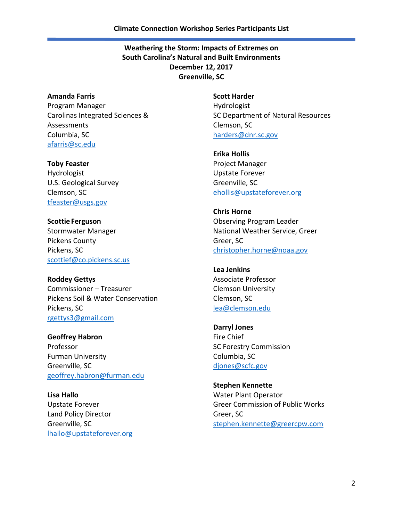**Amanda Farris** Program Manager Carolinas Integrated Sciences & Assessments Columbia, SC [afarris@sc.edu](mailto:afarris@sc.edu)

**Toby Feaster** Hydrologist U.S. Geological Survey Clemson, SC [tfeaster@usgs.gov](mailto:tfeaster@usgs.gov)

**Scottie Ferguson** Stormwater Manager Pickens County Pickens, SC [scottief@co.pickens.sc.us](mailto:scottief@co.pickens.sc.us)

**Roddey Gettys** Commissioner – Treasurer Pickens Soil & Water Conservation Pickens, SC [rgettys3@gmail.com](mailto:rgettys3@gmail.com)

**Geoffrey Habron** Professor Furman University Greenville, SC [geoffrey.habron@furman.edu](mailto:geoffrey.habron@furman.edu)

**Lisa Hallo** Upstate Forever Land Policy Director Greenville, SC [lhallo@upstateforever.org](mailto:lhallo@upstateforever.org) **Scott Harder** Hydrologist SC Department of Natural Resources Clemson, SC [harders@dnr.sc.gov](mailto:harders@dnr.sc.gov)

**Erika Hollis** Project Manager Upstate Forever Greenville, SC [ehollis@upstateforever.org](mailto:ehollis@upstateforever.org)

**Chris Horne** Observing Program Leader National Weather Service, Greer Greer, SC [christopher.horne@noaa.gov](mailto:christopher.horne@noaa.gov)

**Lea Jenkins** Associate Professor Clemson University Clemson, SC [lea@clemson.edu](mailto:lea@clemson.edu)

**Darryl Jones** Fire Chief SC Forestry Commission Columbia, SC [djones@scfc.gov](mailto:djones@scfc.gov)

**Stephen Kennette** Water Plant Operator Greer Commission of Public Works Greer, SC [stephen.kennette@greercpw.com](mailto:stephen.kennette@greercpw.com)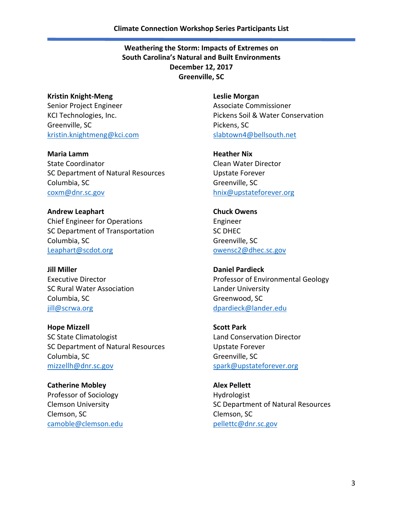**Kristin Knight-Meng** Senior Project Engineer KCI Technologies, Inc. Greenville, SC [kristin.knightmeng@kci.com](mailto:kristin.knightmeng@kci.com)

**Maria Lamm** State Coordinator SC Department of Natural Resources Columbia, SC [coxm@dnr.sc.gov](mailto:coxm@dnr.sc.gov)

**Andrew Leaphart** Chief Engineer for Operations SC Department of Transportation Columbia, SC [Leaphart@scdot.org](mailto:Leaphart@scdot.org)

**Jill Miller** Executive Director SC Rural Water Association Columbia, SC [jill@scrwa.org](mailto:jill@scrwa.org)

**Hope Mizzell** SC State Climatologist SC Department of Natural Resources Columbia, SC [mizzellh@dnr.sc.gov](mailto:mizzellh@dnr.sc.gov)

**Catherine Mobley** Professor of Sociology Clemson University Clemson, SC [camoble@clemson.edu](mailto:camoble@clemson.edu) **Leslie Morgan** Associate Commissioner Pickens Soil & Water Conservation Pickens, SC [slabtown4@bellsouth.net](mailto:slabtown4@bellsouth.net)

**Heather Nix** Clean Water Director Upstate Forever Greenville, SC [hnix@upstateforever.org](mailto:hnix@upstateforever.org)

**Chuck Owens** Engineer SC DHEC Greenville, SC [owensc2@dhec.sc.gov](mailto:owensc2@dhec.sc.gov)

**Daniel Pardieck** Professor of Environmental Geology Lander University Greenwood, SC [dpardieck@lander.edu](mailto:dpardieck@lander.edu)

**Scott Park** Land Conservation Director Upstate Forever Greenville, SC [spark@upstateforever.org](mailto:spark@upstateforever.org)

**Alex Pellett** Hydrologist SC Department of Natural Resources Clemson, SC [pellettc@dnr.sc.gov](mailto:pellettc@dnr.sc.gov)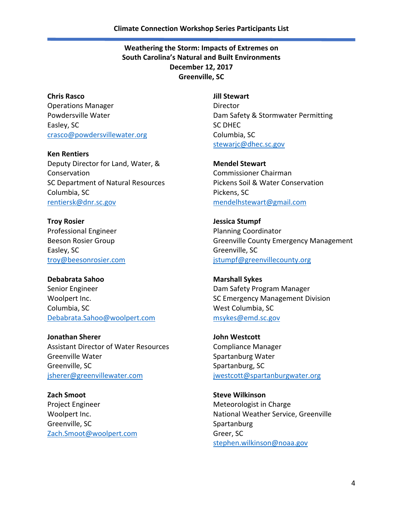**Chris Rasco** Operations Manager Powdersville Water Easley, SC [crasco@powdersvillewater.org](mailto:crasco@powdersvillewater.org)

**Ken Rentiers** Deputy Director for Land, Water, & Conservation SC Department of Natural Resources Columbia, SC [rentiersk@dnr.sc.gov](mailto:rentiersk@dnr.sc.gov)

**Troy Rosier** Professional Engineer Beeson Rosier Group Easley, SC [troy@beesonrosier.com](mailto:troy@beesonrosier.com)

**Debabrata Sahoo** Senior Engineer Woolpert Inc. Columbia, SC [Debabrata.Sahoo@woolpert.com](mailto:Debabrata.Sahoo@woolpert.com)

**Jonathan Sherer** Assistant Director of Water Resources Greenville Water Greenville, SC [jsherer@greenvillewater.com](mailto:jsherer@greenvillewater.com)

**Zach Smoot** Project Engineer Woolpert Inc. Greenville, SC [Zach.Smoot@woolpert.com](mailto:Zach.Smoot@woolpert.com) **Jill Stewart** Director Dam Safety & Stormwater Permitting SC DHEC Columbia, SC [stewarjc@dhec.sc.gov](mailto:stewarjc@dhec.sc.gov)

**Mendel Stewart** Commissioner Chairman Pickens Soil & Water Conservation Pickens, SC [mendelhstewart@gmail.com](mailto:mendelhstewart@gmail.com)

**Jessica Stumpf** Planning Coordinator Greenville County Emergency Management Greenville, SC [jstumpf@greenvillecounty.org](mailto:jstumpf@greenvillecounty.org)

**Marshall Sykes** Dam Safety Program Manager SC Emergency Management Division West Columbia, SC [msykes@emd.sc.gov](mailto:msykes@emd.sc.gov)

**John Westcott** Compliance Manager Spartanburg Water Spartanburg, SC [jwestcott@spartanburgwater.org](mailto:jwestcott@spartanburgwater.org)

**Steve Wilkinson** Meteorologist in Charge National Weather Service, Greenville Spartanburg Greer, SC [stephen.wilkinson@noaa.gov](mailto:stephen.wilkinson@noaa.gov)